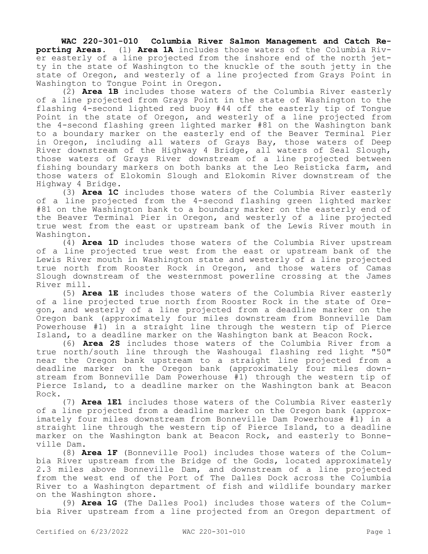**WAC 220-301-010 Columbia River Salmon Management and Catch Reporting Areas.** (1) **Area 1A** includes those waters of the Columbia River easterly of a line projected from the inshore end of the north jetty in the state of Washington to the knuckle of the south jetty in the state of Oregon, and westerly of a line projected from Grays Point in Washington to Tongue Point in Oregon.

(2) **Area 1B** includes those waters of the Columbia River easterly of a line projected from Grays Point in the state of Washington to the flashing 4-second lighted red buoy #44 off the easterly tip of Tongue Point in the state of Oregon, and westerly of a line projected from the 4-second flashing green lighted marker #81 on the Washington bank to a boundary marker on the easterly end of the Beaver Terminal Pier in Oregon, including all waters of Grays Bay, those waters of Deep River downstream of the Highway 4 Bridge, all waters of Seal Slough, those waters of Grays River downstream of a line projected between fishing boundary markers on both banks at the Leo Reisticka farm, and those waters of Elokomin Slough and Elokomin River downstream of the Highway 4 Bridge.

(3) **Area 1C** includes those waters of the Columbia River easterly of a line projected from the 4-second flashing green lighted marker #81 on the Washington bank to a boundary marker on the easterly end of the Beaver Terminal Pier in Oregon, and westerly of a line projected true west from the east or upstream bank of the Lewis River mouth in Washington.

(4) **Area 1D** includes those waters of the Columbia River upstream of a line projected true west from the east or upstream bank of the Lewis River mouth in Washington state and westerly of a line projected true north from Rooster Rock in Oregon, and those waters of Camas Slough downstream of the westernmost powerline crossing at the James River mill.

(5) **Area 1E** includes those waters of the Columbia River easterly of a line projected true north from Rooster Rock in the state of Oregon, and westerly of a line projected from a deadline marker on the Oregon bank (approximately four miles downstream from Bonneville Dam Powerhouse #1) in a straight line through the western tip of Pierce Island, to a deadline marker on the Washington bank at Beacon Rock.

(6) **Area 2S** includes those waters of the Columbia River from a true north/south line through the Washougal flashing red light "50" near the Oregon bank upstream to a straight line projected from a deadline marker on the Oregon bank (approximately four miles downstream from Bonneville Dam Powerhouse #1) through the western tip of Pierce Island, to a deadline marker on the Washington bank at Beacon Rock.

(7) **Area 1E1** includes those waters of the Columbia River easterly of a line projected from a deadline marker on the Oregon bank (approximately four miles downstream from Bonneville Dam Powerhouse #1) in a straight line through the western tip of Pierce Island, to a deadline marker on the Washington bank at Beacon Rock, and easterly to Bonneville Dam.

(8) **Area 1F** (Bonneville Pool) includes those waters of the Columbia River upstream from the Bridge of the Gods, located approximately 2.3 miles above Bonneville Dam, and downstream of a line projected from the west end of the Port of The Dalles Dock across the Columbia River to a Washington department of fish and wildlife boundary marker on the Washington shore.

(9) **Area 1G** (The Dalles Pool) includes those waters of the Columbia River upstream from a line projected from an Oregon department of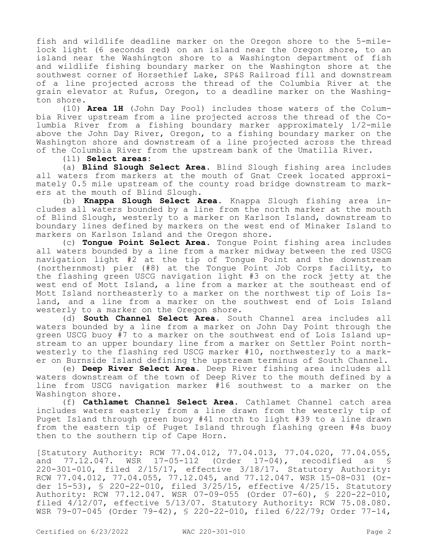fish and wildlife deadline marker on the Oregon shore to the 5-milelock light (6 seconds red) on an island near the Oregon shore, to an island near the Washington shore to a Washington department of fish and wildlife fishing boundary marker on the Washington shore at the southwest corner of Horsethief Lake, SP&S Railroad fill and downstream of a line projected across the thread of the Columbia River at the grain elevator at Rufus, Oregon, to a deadline marker on the Washington shore.

(10) **Area 1H** (John Day Pool) includes those waters of the Columbia River upstream from a line projected across the thread of the Columbia River from a fishing boundary marker approximately 1/2-mile above the John Day River, Oregon, to a fishing boundary marker on the Washington shore and downstream of a line projected across the thread of the Columbia River from the upstream bank of the Umatilla River.

## (11) **Select areas:**

(a) **Blind Slough Select Area.** Blind Slough fishing area includes all waters from markers at the mouth of Gnat Creek located approximately 0.5 mile upstream of the county road bridge downstream to markers at the mouth of Blind Slough.

(b) **Knappa Slough Select Area.** Knappa Slough fishing area includes all waters bounded by a line from the north marker at the mouth of Blind Slough, westerly to a marker on Karlson Island, downstream to boundary lines defined by markers on the west end of Minaker Island to markers on Karlson Island and the Oregon shore.

(c) **Tongue Point Select Area.** Tongue Point fishing area includes all waters bounded by a line from a marker midway between the red USCG navigation light #2 at the tip of Tongue Point and the downstream (northernmost) pier (#8) at the Tongue Point Job Corps facility, to the flashing green USCG navigation light #3 on the rock jetty at the west end of Mott Island, a line from a marker at the southeast end of Mott Island northeasterly to a marker on the northwest tip of Lois Island, and a line from a marker on the southwest end of Lois Island westerly to a marker on the Oregon shore.

(d) **South Channel Select Area.** South Channel area includes all waters bounded by a line from a marker on John Day Point through the green USCG buoy #7 to a marker on the southwest end of Lois Island upstream to an upper boundary line from a marker on Settler Point northwesterly to the flashing red USCG marker #10, northwesterly to a marker on Burnside Island defining the upstream terminus of South Channel.

(e) **Deep River Select Area.** Deep River fishing area includes all waters downstream of the town of Deep River to the mouth defined by a line from USCG navigation marker #16 southwest to a marker on the Washington shore.

(f) **Cathlamet Channel Select Area.** Cathlamet Channel catch area includes waters easterly from a line drawn from the westerly tip of Puget Island through green buoy #41 north to light #39 to a line drawn from the eastern tip of Puget Island through flashing green #4s buoy then to the southern tip of Cape Horn.

[Statutory Authority: RCW 77.04.012, 77.04.013, 77.04.020, 77.04.055, and 77.12.047. WSR 17-05-112 (Order 17-04), recodified as § 220-301-010, filed 2/15/17, effective 3/18/17. Statutory Authority: RCW 77.04.012, 77.04.055, 77.12.045, and 77.12.047. WSR 15-08-031 (Order 15-53), § 220-22-010, filed 3/25/15, effective 4/25/15. Statutory Authority: RCW 77.12.047. WSR 07-09-055 (Order 07-60), § 220-22-010, filed 4/12/07, effective 5/13/07. Statutory Authority: RCW 75.08.080. WSR 79-07-045 (Order 79-42), § 220-22-010, filed 6/22/79; Order 77-14,